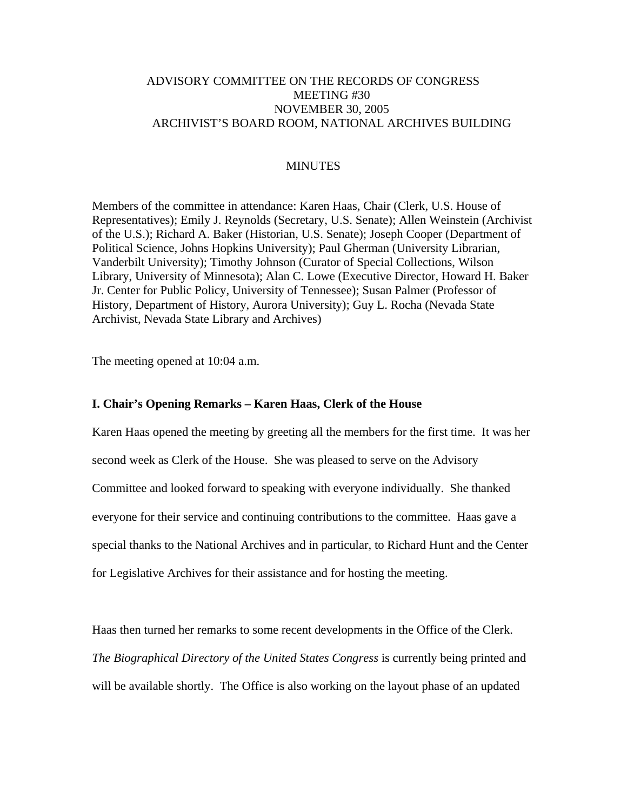# ADVISORY COMMITTEE ON THE RECORDS OF CONGRESS MEETING #30 NOVEMBER 30, 2005 ARCHIVIST'S BOARD ROOM, NATIONAL ARCHIVES BUILDING

## **MINUTES**

Members of the committee in attendance: Karen Haas, Chair (Clerk, U.S. House of Representatives); Emily J. Reynolds (Secretary, U.S. Senate); Allen Weinstein (Archivist of the U.S.); Richard A. Baker (Historian, U.S. Senate); Joseph Cooper (Department of Political Science, Johns Hopkins University); Paul Gherman (University Librarian, Vanderbilt University); Timothy Johnson (Curator of Special Collections, Wilson Library, University of Minnesota); Alan C. Lowe (Executive Director, Howard H. Baker Jr. Center for Public Policy, University of Tennessee); Susan Palmer (Professor of History, Department of History, Aurora University); Guy L. Rocha (Nevada State Archivist, Nevada State Library and Archives)

The meeting opened at 10:04 a.m.

## **I. Chair's Opening Remarks – Karen Haas, Clerk of the House**

Karen Haas opened the meeting by greeting all the members for the first time. It was her second week as Clerk of the House. She was pleased to serve on the Advisory Committee and looked forward to speaking with everyone individually. She thanked everyone for their service and continuing contributions to the committee. Haas gave a special thanks to the National Archives and in particular, to Richard Hunt and the Center for Legislative Archives for their assistance and for hosting the meeting.

Haas then turned her remarks to some recent developments in the Office of the Clerk. *The Biographical Directory of the United States Congress* is currently being printed and will be available shortly. The Office is also working on the layout phase of an updated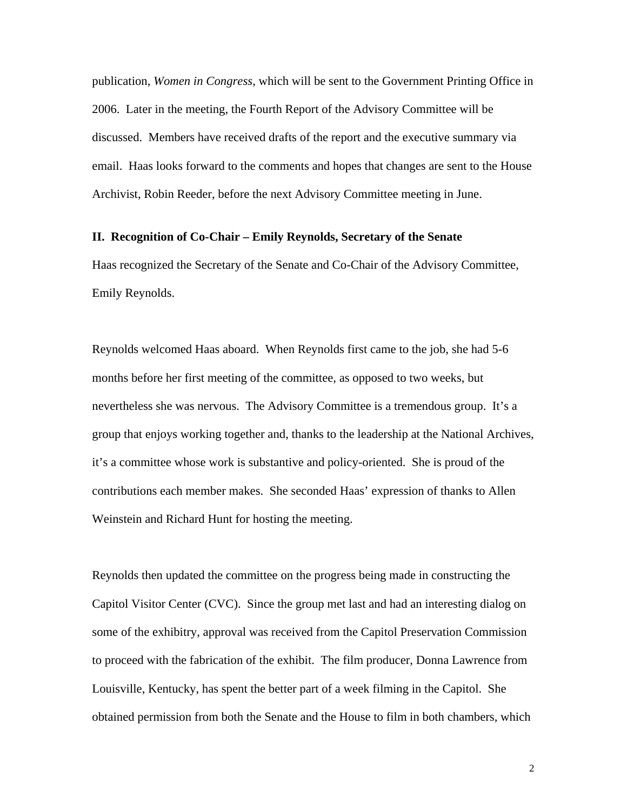publication, *Women in Congress*, which will be sent to the Government Printing Office in 2006. Later in the meeting, the Fourth Report of the Advisory Committee will be discussed. Members have received drafts of the report and the executive summary via email. Haas looks forward to the comments and hopes that changes are sent to the House Archivist, Robin Reeder, before the next Advisory Committee meeting in June.

## **II. Recognition of Co-Chair – Emily Reynolds, Secretary of the Senate**

Haas recognized the Secretary of the Senate and Co-Chair of the Advisory Committee, Emily Reynolds.

Reynolds welcomed Haas aboard. When Reynolds first came to the job, she had 5-6 months before her first meeting of the committee, as opposed to two weeks, but nevertheless she was nervous. The Advisory Committee is a tremendous group. It's a group that enjoys working together and, thanks to the leadership at the National Archives, it's a committee whose work is substantive and policy-oriented. She is proud of the contributions each member makes. She seconded Haas' expression of thanks to Allen Weinstein and Richard Hunt for hosting the meeting.

Reynolds then updated the committee on the progress being made in constructing the Capitol Visitor Center (CVC). Since the group met last and had an interesting dialog on some of the exhibitry, approval was received from the Capitol Preservation Commission to proceed with the fabrication of the exhibit. The film producer, Donna Lawrence from Louisville, Kentucky, has spent the better part of a week filming in the Capitol. She obtained permission from both the Senate and the House to film in both chambers, which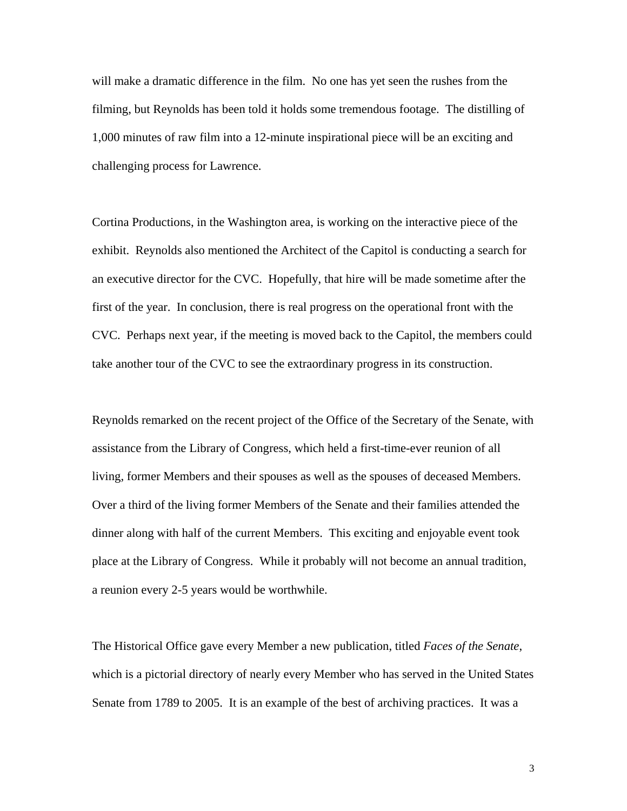will make a dramatic difference in the film. No one has yet seen the rushes from the filming, but Reynolds has been told it holds some tremendous footage. The distilling of 1,000 minutes of raw film into a 12-minute inspirational piece will be an exciting and challenging process for Lawrence.

Cortina Productions, in the Washington area, is working on the interactive piece of the exhibit. Reynolds also mentioned the Architect of the Capitol is conducting a search for an executive director for the CVC. Hopefully, that hire will be made sometime after the first of the year. In conclusion, there is real progress on the operational front with the CVC. Perhaps next year, if the meeting is moved back to the Capitol, the members could take another tour of the CVC to see the extraordinary progress in its construction.

Reynolds remarked on the recent project of the Office of the Secretary of the Senate, with assistance from the Library of Congress, which held a first-time-ever reunion of all living, former Members and their spouses as well as the spouses of deceased Members. Over a third of the living former Members of the Senate and their families attended the dinner along with half of the current Members. This exciting and enjoyable event took place at the Library of Congress. While it probably will not become an annual tradition, a reunion every 2-5 years would be worthwhile.

The Historical Office gave every Member a new publication, titled *Faces of the Senate*, which is a pictorial directory of nearly every Member who has served in the United States Senate from 1789 to 2005. It is an example of the best of archiving practices. It was a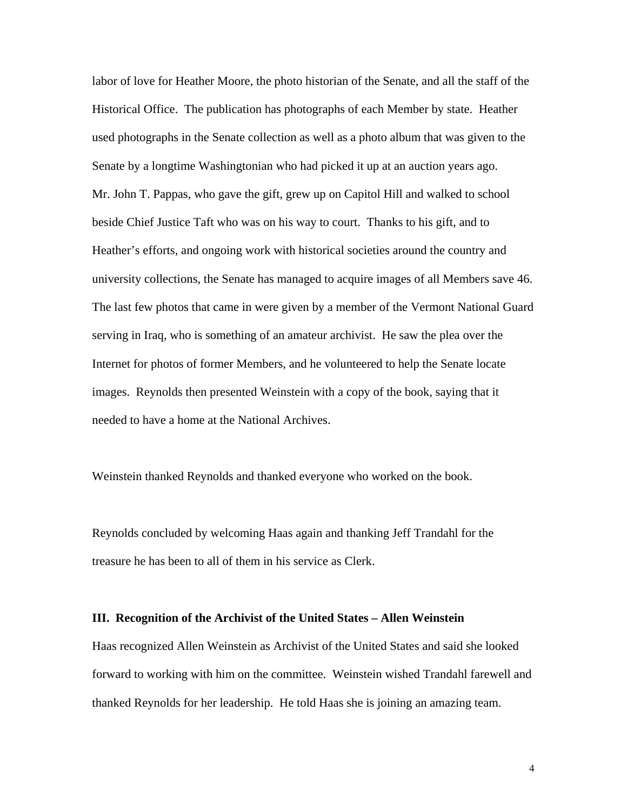labor of love for Heather Moore, the photo historian of the Senate, and all the staff of the Historical Office. The publication has photographs of each Member by state. Heather used photographs in the Senate collection as well as a photo album that was given to the Senate by a longtime Washingtonian who had picked it up at an auction years ago. Mr. John T. Pappas, who gave the gift, grew up on Capitol Hill and walked to school beside Chief Justice Taft who was on his way to court. Thanks to his gift, and to Heather's efforts, and ongoing work with historical societies around the country and university collections, the Senate has managed to acquire images of all Members save 46. The last few photos that came in were given by a member of the Vermont National Guard serving in Iraq, who is something of an amateur archivist. He saw the plea over the Internet for photos of former Members, and he volunteered to help the Senate locate images. Reynolds then presented Weinstein with a copy of the book, saying that it needed to have a home at the National Archives.

Weinstein thanked Reynolds and thanked everyone who worked on the book.

Reynolds concluded by welcoming Haas again and thanking Jeff Trandahl for the treasure he has been to all of them in his service as Clerk.

#### **III. Recognition of the Archivist of the United States – Allen Weinstein**

Haas recognized Allen Weinstein as Archivist of the United States and said she looked forward to working with him on the committee. Weinstein wished Trandahl farewell and thanked Reynolds for her leadership. He told Haas she is joining an amazing team.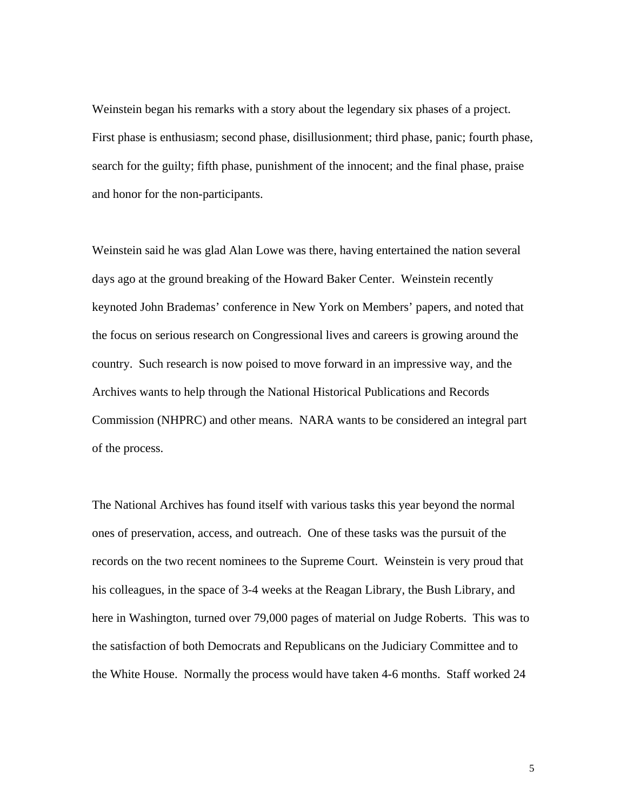Weinstein began his remarks with a story about the legendary six phases of a project. First phase is enthusiasm; second phase, disillusionment; third phase, panic; fourth phase, search for the guilty; fifth phase, punishment of the innocent; and the final phase, praise and honor for the non-participants.

Weinstein said he was glad Alan Lowe was there, having entertained the nation several days ago at the ground breaking of the Howard Baker Center. Weinstein recently keynoted John Brademas' conference in New York on Members' papers, and noted that the focus on serious research on Congressional lives and careers is growing around the country. Such research is now poised to move forward in an impressive way, and the Archives wants to help through the National Historical Publications and Records Commission (NHPRC) and other means. NARA wants to be considered an integral part of the process.

The National Archives has found itself with various tasks this year beyond the normal ones of preservation, access, and outreach. One of these tasks was the pursuit of the records on the two recent nominees to the Supreme Court. Weinstein is very proud that his colleagues, in the space of 3-4 weeks at the Reagan Library, the Bush Library, and here in Washington, turned over 79,000 pages of material on Judge Roberts. This was to the satisfaction of both Democrats and Republicans on the Judiciary Committee and to the White House. Normally the process would have taken 4-6 months. Staff worked 24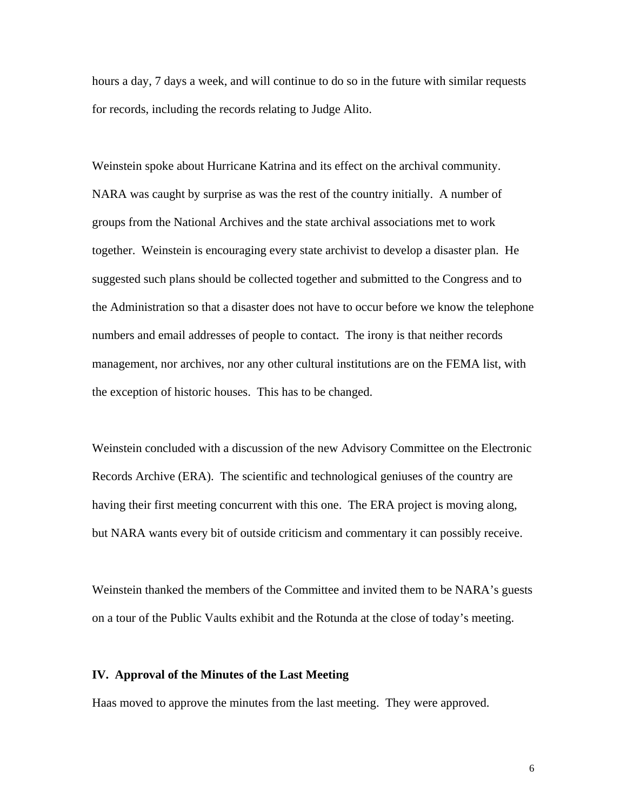hours a day, 7 days a week, and will continue to do so in the future with similar requests for records, including the records relating to Judge Alito.

Weinstein spoke about Hurricane Katrina and its effect on the archival community. NARA was caught by surprise as was the rest of the country initially. A number of groups from the National Archives and the state archival associations met to work together. Weinstein is encouraging every state archivist to develop a disaster plan. He suggested such plans should be collected together and submitted to the Congress and to the Administration so that a disaster does not have to occur before we know the telephone numbers and email addresses of people to contact. The irony is that neither records management, nor archives, nor any other cultural institutions are on the FEMA list, with the exception of historic houses. This has to be changed.

Weinstein concluded with a discussion of the new Advisory Committee on the Electronic Records Archive (ERA). The scientific and technological geniuses of the country are having their first meeting concurrent with this one. The ERA project is moving along, but NARA wants every bit of outside criticism and commentary it can possibly receive.

Weinstein thanked the members of the Committee and invited them to be NARA's guests on a tour of the Public Vaults exhibit and the Rotunda at the close of today's meeting.

## **IV. Approval of the Minutes of the Last Meeting**

Haas moved to approve the minutes from the last meeting. They were approved.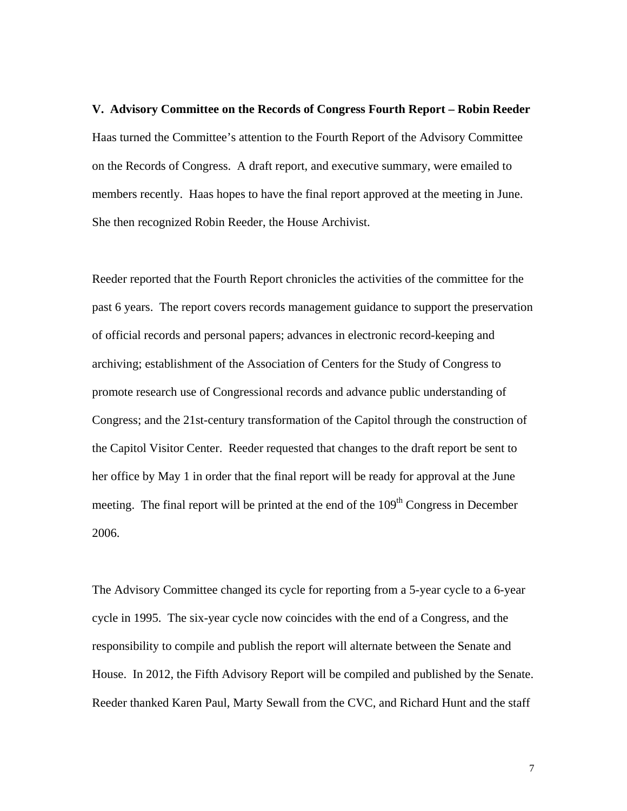**V. Advisory Committee on the Records of Congress Fourth Report – Robin Reeder**  Haas turned the Committee's attention to the Fourth Report of the Advisory Committee on the Records of Congress. A draft report, and executive summary, were emailed to members recently. Haas hopes to have the final report approved at the meeting in June. She then recognized Robin Reeder, the House Archivist.

Reeder reported that the Fourth Report chronicles the activities of the committee for the past 6 years. The report covers records management guidance to support the preservation of official records and personal papers; advances in electronic record-keeping and archiving; establishment of the Association of Centers for the Study of Congress to promote research use of Congressional records and advance public understanding of Congress; and the 21st-century transformation of the Capitol through the construction of the Capitol Visitor Center. Reeder requested that changes to the draft report be sent to her office by May 1 in order that the final report will be ready for approval at the June meeting. The final report will be printed at the end of the  $109<sup>th</sup>$  Congress in December 2006.

The Advisory Committee changed its cycle for reporting from a 5-year cycle to a 6-year cycle in 1995. The six-year cycle now coincides with the end of a Congress, and the responsibility to compile and publish the report will alternate between the Senate and House. In 2012, the Fifth Advisory Report will be compiled and published by the Senate. Reeder thanked Karen Paul, Marty Sewall from the CVC, and Richard Hunt and the staff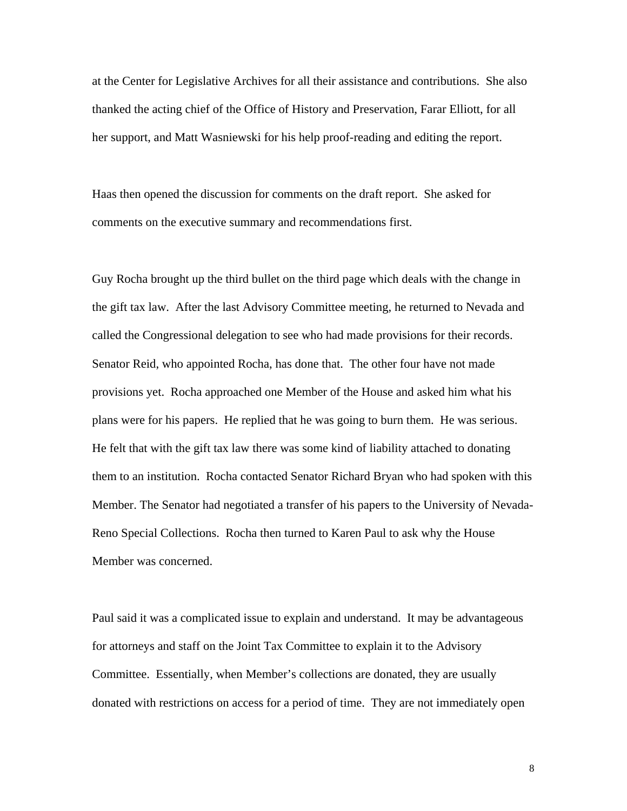at the Center for Legislative Archives for all their assistance and contributions. She also thanked the acting chief of the Office of History and Preservation, Farar Elliott, for all her support, and Matt Wasniewski for his help proof-reading and editing the report.

Haas then opened the discussion for comments on the draft report. She asked for comments on the executive summary and recommendations first.

Guy Rocha brought up the third bullet on the third page which deals with the change in the gift tax law. After the last Advisory Committee meeting, he returned to Nevada and called the Congressional delegation to see who had made provisions for their records. Senator Reid, who appointed Rocha, has done that. The other four have not made provisions yet. Rocha approached one Member of the House and asked him what his plans were for his papers. He replied that he was going to burn them. He was serious. He felt that with the gift tax law there was some kind of liability attached to donating them to an institution. Rocha contacted Senator Richard Bryan who had spoken with this Member. The Senator had negotiated a transfer of his papers to the University of Nevada-Reno Special Collections. Rocha then turned to Karen Paul to ask why the House Member was concerned.

Paul said it was a complicated issue to explain and understand. It may be advantageous for attorneys and staff on the Joint Tax Committee to explain it to the Advisory Committee. Essentially, when Member's collections are donated, they are usually donated with restrictions on access for a period of time. They are not immediately open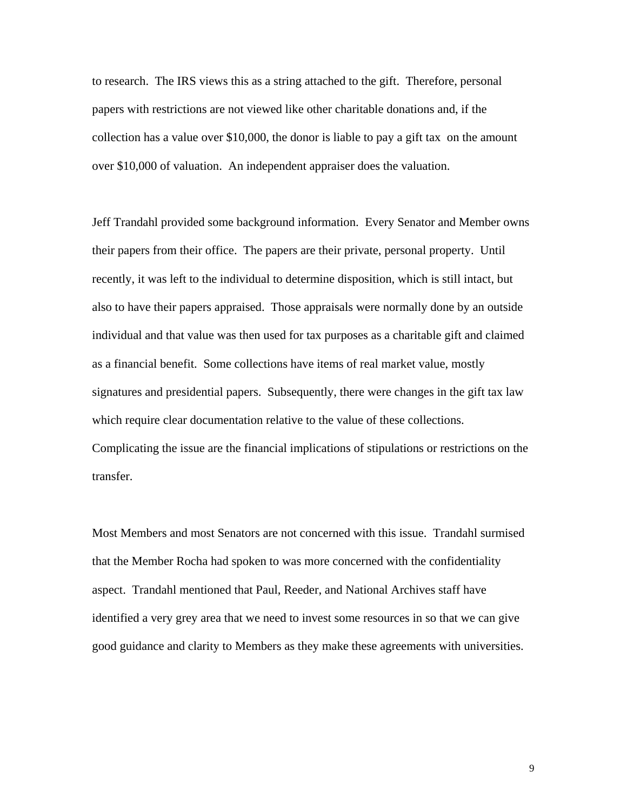to research. The IRS views this as a string attached to the gift. Therefore, personal papers with restrictions are not viewed like other charitable donations and, if the collection has a value over \$10,000, the donor is liable to pay a gift tax on the amount over \$10,000 of valuation. An independent appraiser does the valuation.

Jeff Trandahl provided some background information. Every Senator and Member owns their papers from their office. The papers are their private, personal property. Until recently, it was left to the individual to determine disposition, which is still intact, but also to have their papers appraised. Those appraisals were normally done by an outside individual and that value was then used for tax purposes as a charitable gift and claimed as a financial benefit. Some collections have items of real market value, mostly signatures and presidential papers. Subsequently, there were changes in the gift tax law which require clear documentation relative to the value of these collections. Complicating the issue are the financial implications of stipulations or restrictions on the transfer.

Most Members and most Senators are not concerned with this issue. Trandahl surmised that the Member Rocha had spoken to was more concerned with the confidentiality aspect. Trandahl mentioned that Paul, Reeder, and National Archives staff have identified a very grey area that we need to invest some resources in so that we can give good guidance and clarity to Members as they make these agreements with universities.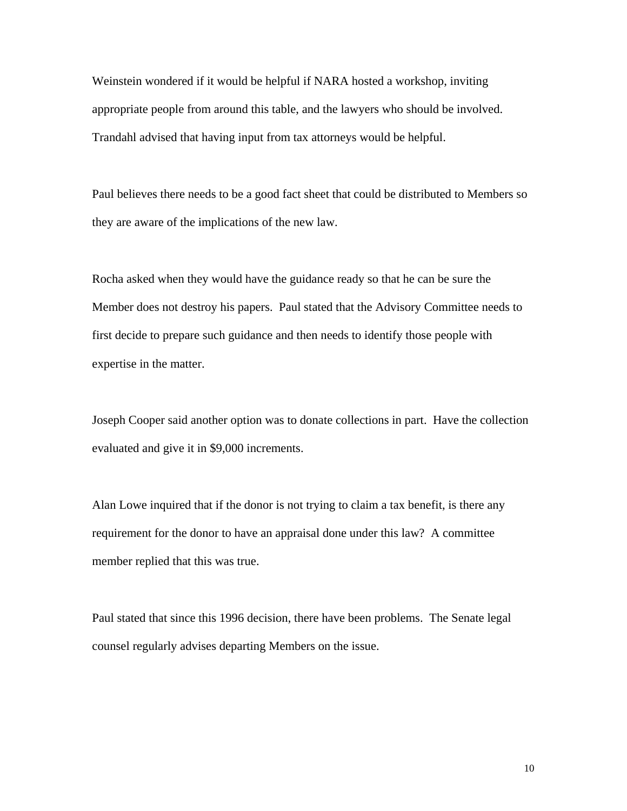Weinstein wondered if it would be helpful if NARA hosted a workshop, inviting appropriate people from around this table, and the lawyers who should be involved. Trandahl advised that having input from tax attorneys would be helpful.

Paul believes there needs to be a good fact sheet that could be distributed to Members so they are aware of the implications of the new law.

Rocha asked when they would have the guidance ready so that he can be sure the Member does not destroy his papers. Paul stated that the Advisory Committee needs to first decide to prepare such guidance and then needs to identify those people with expertise in the matter.

Joseph Cooper said another option was to donate collections in part. Have the collection evaluated and give it in \$9,000 increments.

Alan Lowe inquired that if the donor is not trying to claim a tax benefit, is there any requirement for the donor to have an appraisal done under this law? A committee member replied that this was true.

Paul stated that since this 1996 decision, there have been problems. The Senate legal counsel regularly advises departing Members on the issue.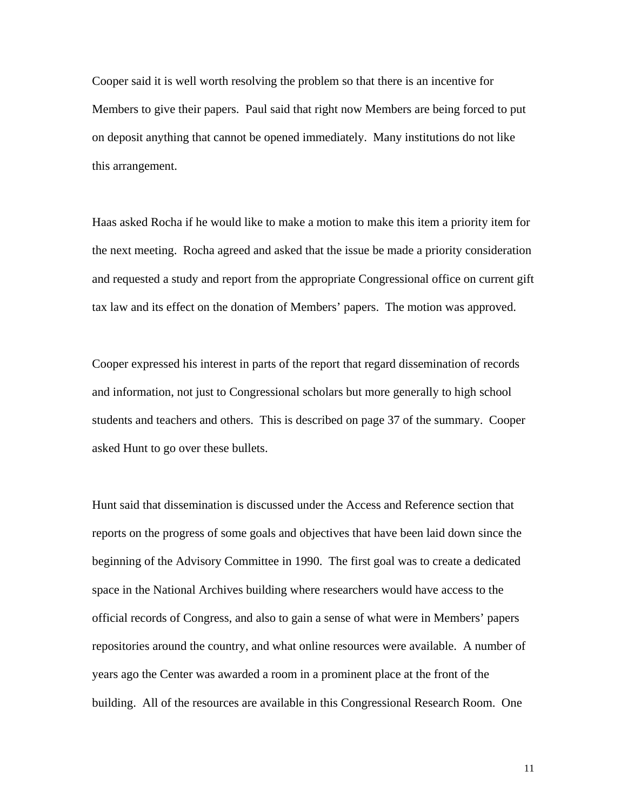Cooper said it is well worth resolving the problem so that there is an incentive for Members to give their papers. Paul said that right now Members are being forced to put on deposit anything that cannot be opened immediately. Many institutions do not like this arrangement.

Haas asked Rocha if he would like to make a motion to make this item a priority item for the next meeting. Rocha agreed and asked that the issue be made a priority consideration and requested a study and report from the appropriate Congressional office on current gift tax law and its effect on the donation of Members' papers. The motion was approved.

Cooper expressed his interest in parts of the report that regard dissemination of records and information, not just to Congressional scholars but more generally to high school students and teachers and others. This is described on page 37 of the summary. Cooper asked Hunt to go over these bullets.

Hunt said that dissemination is discussed under the Access and Reference section that reports on the progress of some goals and objectives that have been laid down since the beginning of the Advisory Committee in 1990. The first goal was to create a dedicated space in the National Archives building where researchers would have access to the official records of Congress, and also to gain a sense of what were in Members' papers repositories around the country, and what online resources were available. A number of years ago the Center was awarded a room in a prominent place at the front of the building. All of the resources are available in this Congressional Research Room. One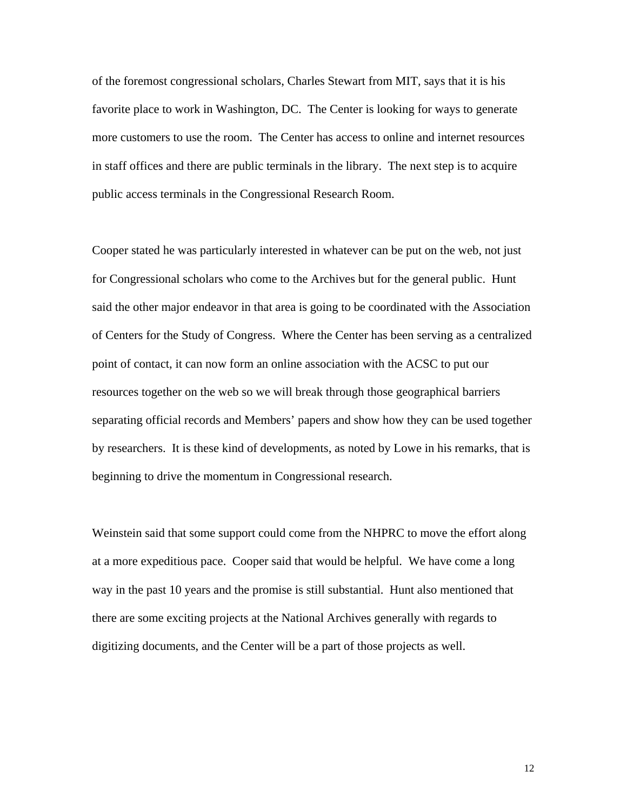of the foremost congressional scholars, Charles Stewart from MIT, says that it is his favorite place to work in Washington, DC. The Center is looking for ways to generate more customers to use the room. The Center has access to online and internet resources in staff offices and there are public terminals in the library. The next step is to acquire public access terminals in the Congressional Research Room.

Cooper stated he was particularly interested in whatever can be put on the web, not just for Congressional scholars who come to the Archives but for the general public. Hunt said the other major endeavor in that area is going to be coordinated with the Association of Centers for the Study of Congress. Where the Center has been serving as a centralized point of contact, it can now form an online association with the ACSC to put our resources together on the web so we will break through those geographical barriers separating official records and Members' papers and show how they can be used together by researchers. It is these kind of developments, as noted by Lowe in his remarks, that is beginning to drive the momentum in Congressional research.

Weinstein said that some support could come from the NHPRC to move the effort along at a more expeditious pace. Cooper said that would be helpful. We have come a long way in the past 10 years and the promise is still substantial. Hunt also mentioned that there are some exciting projects at the National Archives generally with regards to digitizing documents, and the Center will be a part of those projects as well.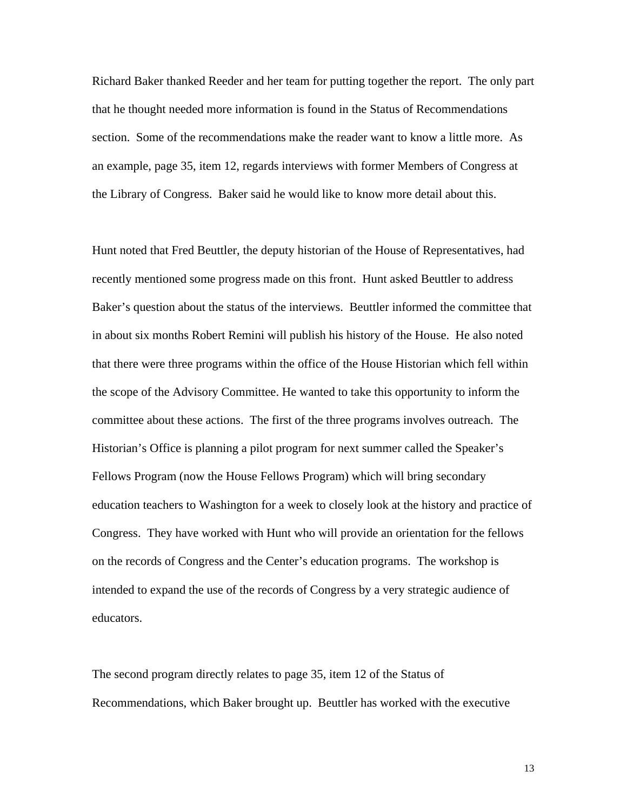Richard Baker thanked Reeder and her team for putting together the report. The only part that he thought needed more information is found in the Status of Recommendations section. Some of the recommendations make the reader want to know a little more. As an example, page 35, item 12, regards interviews with former Members of Congress at the Library of Congress. Baker said he would like to know more detail about this.

Hunt noted that Fred Beuttler, the deputy historian of the House of Representatives, had recently mentioned some progress made on this front. Hunt asked Beuttler to address Baker's question about the status of the interviews. Beuttler informed the committee that in about six months Robert Remini will publish his history of the House. He also noted that there were three programs within the office of the House Historian which fell within the scope of the Advisory Committee. He wanted to take this opportunity to inform the committee about these actions. The first of the three programs involves outreach. The Historian's Office is planning a pilot program for next summer called the Speaker's Fellows Program (now the House Fellows Program) which will bring secondary education teachers to Washington for a week to closely look at the history and practice of Congress. They have worked with Hunt who will provide an orientation for the fellows on the records of Congress and the Center's education programs. The workshop is intended to expand the use of the records of Congress by a very strategic audience of educators.

The second program directly relates to page 35, item 12 of the Status of Recommendations, which Baker brought up. Beuttler has worked with the executive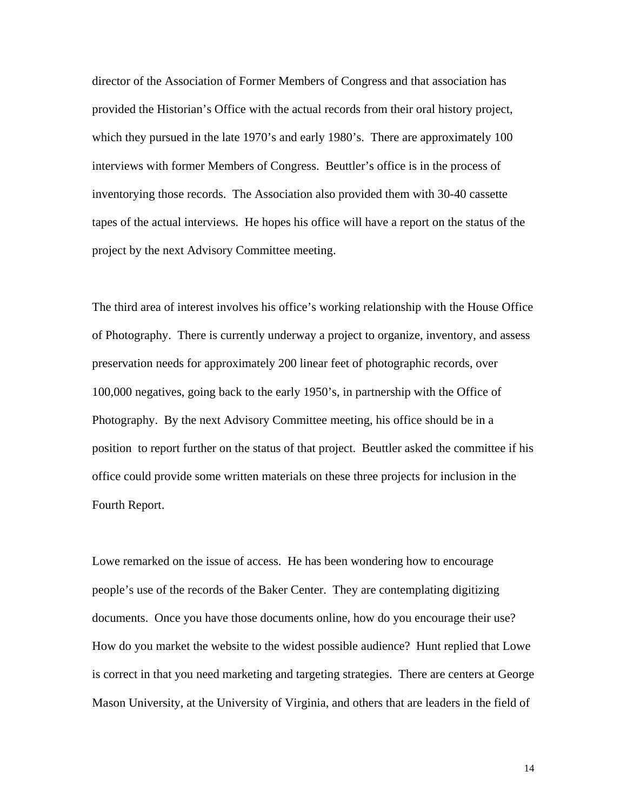director of the Association of Former Members of Congress and that association has provided the Historian's Office with the actual records from their oral history project, which they pursued in the late 1970's and early 1980's. There are approximately 100 interviews with former Members of Congress. Beuttler's office is in the process of inventorying those records. The Association also provided them with 30-40 cassette tapes of the actual interviews. He hopes his office will have a report on the status of the project by the next Advisory Committee meeting.

The third area of interest involves his office's working relationship with the House Office of Photography. There is currently underway a project to organize, inventory, and assess preservation needs for approximately 200 linear feet of photographic records, over 100,000 negatives, going back to the early 1950's, in partnership with the Office of Photography. By the next Advisory Committee meeting, his office should be in a position to report further on the status of that project. Beuttler asked the committee if his office could provide some written materials on these three projects for inclusion in the Fourth Report.

Lowe remarked on the issue of access. He has been wondering how to encourage people's use of the records of the Baker Center. They are contemplating digitizing documents. Once you have those documents online, how do you encourage their use? How do you market the website to the widest possible audience? Hunt replied that Lowe is correct in that you need marketing and targeting strategies. There are centers at George Mason University, at the University of Virginia, and others that are leaders in the field of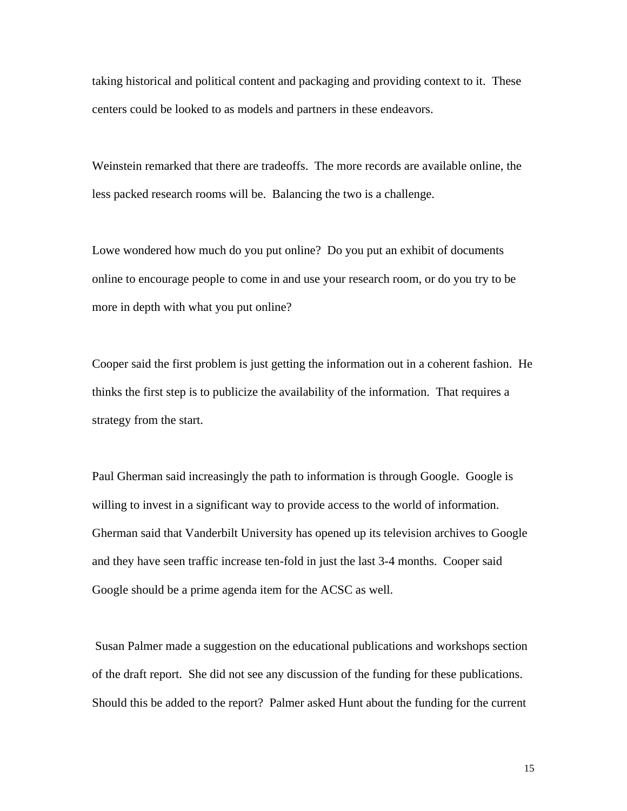taking historical and political content and packaging and providing context to it. These centers could be looked to as models and partners in these endeavors.

Weinstein remarked that there are tradeoffs. The more records are available online, the less packed research rooms will be. Balancing the two is a challenge.

Lowe wondered how much do you put online? Do you put an exhibit of documents online to encourage people to come in and use your research room, or do you try to be more in depth with what you put online?

Cooper said the first problem is just getting the information out in a coherent fashion. He thinks the first step is to publicize the availability of the information. That requires a strategy from the start.

Paul Gherman said increasingly the path to information is through Google. Google is willing to invest in a significant way to provide access to the world of information. Gherman said that Vanderbilt University has opened up its television archives to Google and they have seen traffic increase ten-fold in just the last 3-4 months. Cooper said Google should be a prime agenda item for the ACSC as well.

 Susan Palmer made a suggestion on the educational publications and workshops section of the draft report. She did not see any discussion of the funding for these publications. Should this be added to the report? Palmer asked Hunt about the funding for the current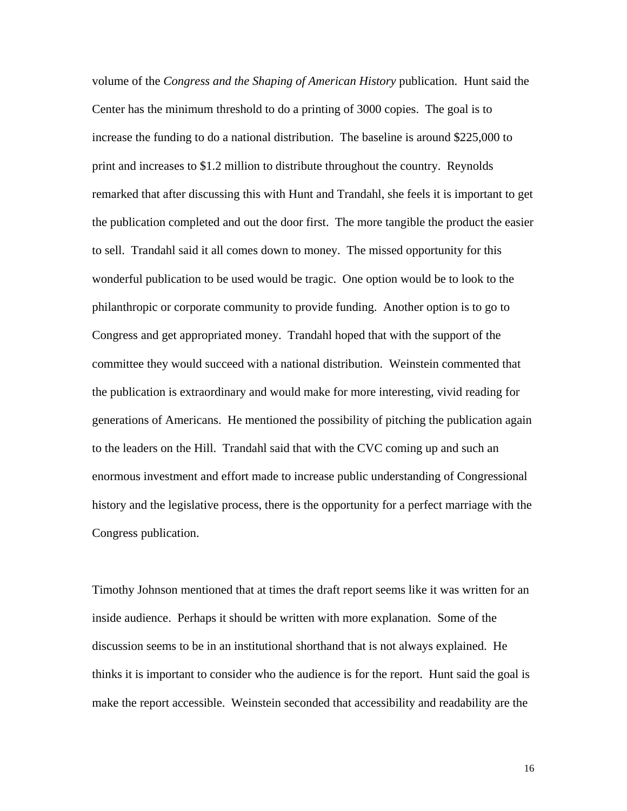volume of the *Congress and the Shaping of American History* publication. Hunt said the Center has the minimum threshold to do a printing of 3000 copies. The goal is to increase the funding to do a national distribution. The baseline is around \$225,000 to print and increases to \$1.2 million to distribute throughout the country. Reynolds remarked that after discussing this with Hunt and Trandahl, she feels it is important to get the publication completed and out the door first. The more tangible the product the easier to sell. Trandahl said it all comes down to money. The missed opportunity for this wonderful publication to be used would be tragic. One option would be to look to the philanthropic or corporate community to provide funding. Another option is to go to Congress and get appropriated money. Trandahl hoped that with the support of the committee they would succeed with a national distribution. Weinstein commented that the publication is extraordinary and would make for more interesting, vivid reading for generations of Americans. He mentioned the possibility of pitching the publication again to the leaders on the Hill. Trandahl said that with the CVC coming up and such an enormous investment and effort made to increase public understanding of Congressional history and the legislative process, there is the opportunity for a perfect marriage with the Congress publication.

Timothy Johnson mentioned that at times the draft report seems like it was written for an inside audience. Perhaps it should be written with more explanation. Some of the discussion seems to be in an institutional shorthand that is not always explained. He thinks it is important to consider who the audience is for the report. Hunt said the goal is make the report accessible. Weinstein seconded that accessibility and readability are the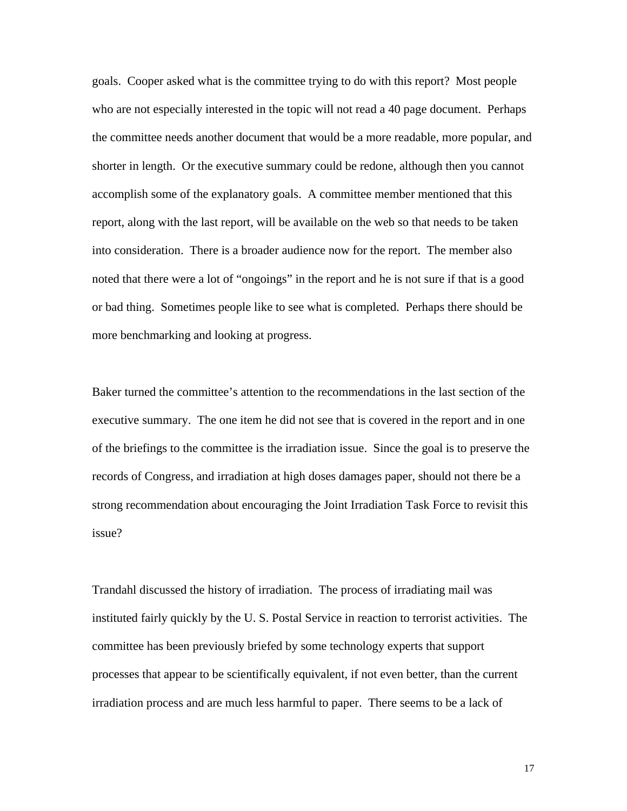goals. Cooper asked what is the committee trying to do with this report? Most people who are not especially interested in the topic will not read a 40 page document. Perhaps the committee needs another document that would be a more readable, more popular, and shorter in length. Or the executive summary could be redone, although then you cannot accomplish some of the explanatory goals. A committee member mentioned that this report, along with the last report, will be available on the web so that needs to be taken into consideration. There is a broader audience now for the report. The member also noted that there were a lot of "ongoings" in the report and he is not sure if that is a good or bad thing. Sometimes people like to see what is completed. Perhaps there should be more benchmarking and looking at progress.

Baker turned the committee's attention to the recommendations in the last section of the executive summary. The one item he did not see that is covered in the report and in one of the briefings to the committee is the irradiation issue. Since the goal is to preserve the records of Congress, and irradiation at high doses damages paper, should not there be a strong recommendation about encouraging the Joint Irradiation Task Force to revisit this issue?

Trandahl discussed the history of irradiation. The process of irradiating mail was instituted fairly quickly by the U. S. Postal Service in reaction to terrorist activities. The committee has been previously briefed by some technology experts that support processes that appear to be scientifically equivalent, if not even better, than the current irradiation process and are much less harmful to paper. There seems to be a lack of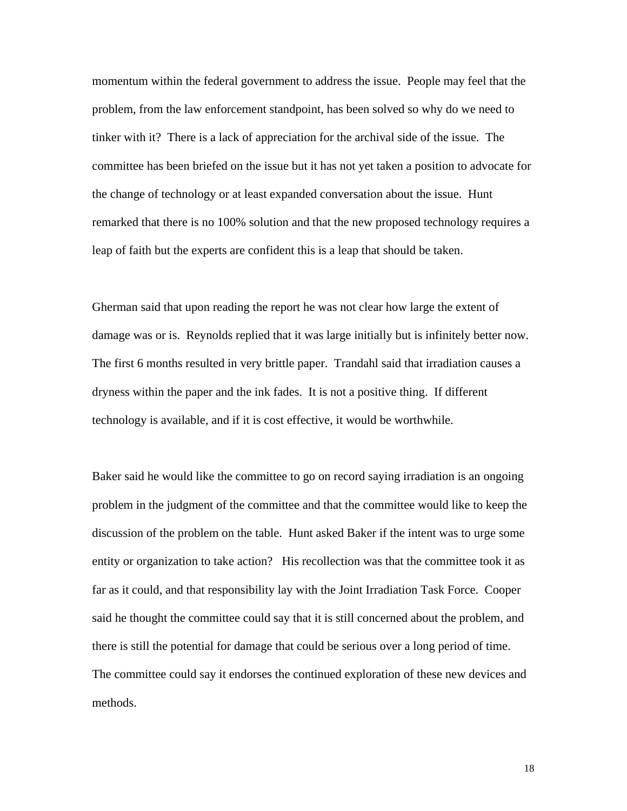momentum within the federal government to address the issue. People may feel that the problem, from the law enforcement standpoint, has been solved so why do we need to tinker with it? There is a lack of appreciation for the archival side of the issue. The committee has been briefed on the issue but it has not yet taken a position to advocate for the change of technology or at least expanded conversation about the issue. Hunt remarked that there is no 100% solution and that the new proposed technology requires a leap of faith but the experts are confident this is a leap that should be taken.

Gherman said that upon reading the report he was not clear how large the extent of damage was or is. Reynolds replied that it was large initially but is infinitely better now. The first 6 months resulted in very brittle paper. Trandahl said that irradiation causes a dryness within the paper and the ink fades. It is not a positive thing. If different technology is available, and if it is cost effective, it would be worthwhile.

Baker said he would like the committee to go on record saying irradiation is an ongoing problem in the judgment of the committee and that the committee would like to keep the discussion of the problem on the table. Hunt asked Baker if the intent was to urge some entity or organization to take action? His recollection was that the committee took it as far as it could, and that responsibility lay with the Joint Irradiation Task Force. Cooper said he thought the committee could say that it is still concerned about the problem, and there is still the potential for damage that could be serious over a long period of time. The committee could say it endorses the continued exploration of these new devices and methods.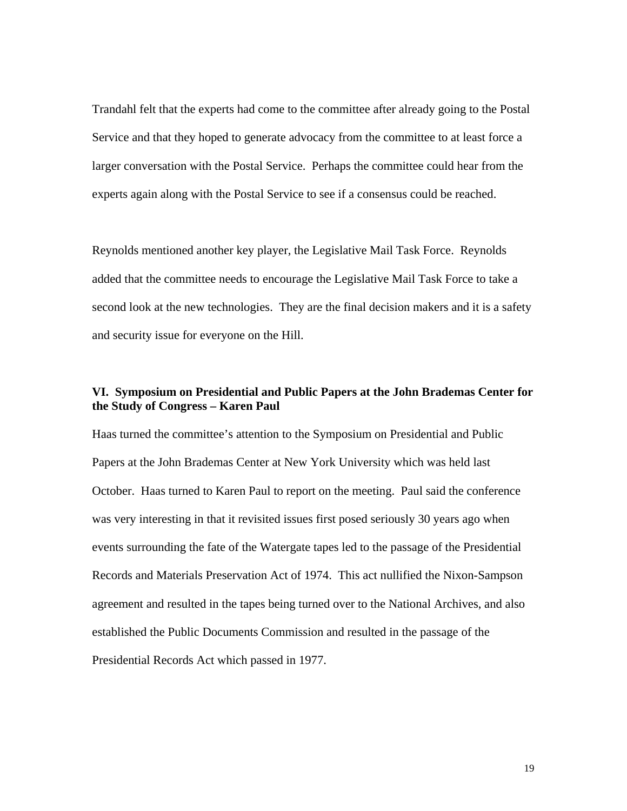Trandahl felt that the experts had come to the committee after already going to the Postal Service and that they hoped to generate advocacy from the committee to at least force a larger conversation with the Postal Service. Perhaps the committee could hear from the experts again along with the Postal Service to see if a consensus could be reached.

Reynolds mentioned another key player, the Legislative Mail Task Force. Reynolds added that the committee needs to encourage the Legislative Mail Task Force to take a second look at the new technologies. They are the final decision makers and it is a safety and security issue for everyone on the Hill.

## **VI. Symposium on Presidential and Public Papers at the John Brademas Center for the Study of Congress – Karen Paul**

Haas turned the committee's attention to the Symposium on Presidential and Public Papers at the John Brademas Center at New York University which was held last October. Haas turned to Karen Paul to report on the meeting. Paul said the conference was very interesting in that it revisited issues first posed seriously 30 years ago when events surrounding the fate of the Watergate tapes led to the passage of the Presidential Records and Materials Preservation Act of 1974. This act nullified the Nixon-Sampson agreement and resulted in the tapes being turned over to the National Archives, and also established the Public Documents Commission and resulted in the passage of the Presidential Records Act which passed in 1977.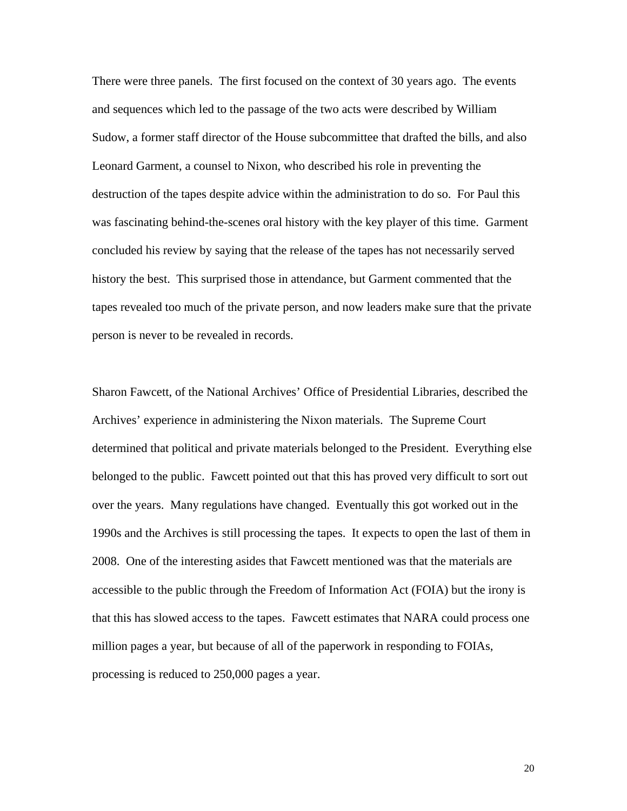There were three panels. The first focused on the context of 30 years ago. The events and sequences which led to the passage of the two acts were described by William Sudow, a former staff director of the House subcommittee that drafted the bills, and also Leonard Garment, a counsel to Nixon, who described his role in preventing the destruction of the tapes despite advice within the administration to do so. For Paul this was fascinating behind-the-scenes oral history with the key player of this time. Garment concluded his review by saying that the release of the tapes has not necessarily served history the best. This surprised those in attendance, but Garment commented that the tapes revealed too much of the private person, and now leaders make sure that the private person is never to be revealed in records.

Sharon Fawcett, of the National Archives' Office of Presidential Libraries, described the Archives' experience in administering the Nixon materials. The Supreme Court determined that political and private materials belonged to the President. Everything else belonged to the public. Fawcett pointed out that this has proved very difficult to sort out over the years. Many regulations have changed. Eventually this got worked out in the 1990s and the Archives is still processing the tapes. It expects to open the last of them in 2008. One of the interesting asides that Fawcett mentioned was that the materials are accessible to the public through the Freedom of Information Act (FOIA) but the irony is that this has slowed access to the tapes. Fawcett estimates that NARA could process one million pages a year, but because of all of the paperwork in responding to FOIAs, processing is reduced to 250,000 pages a year.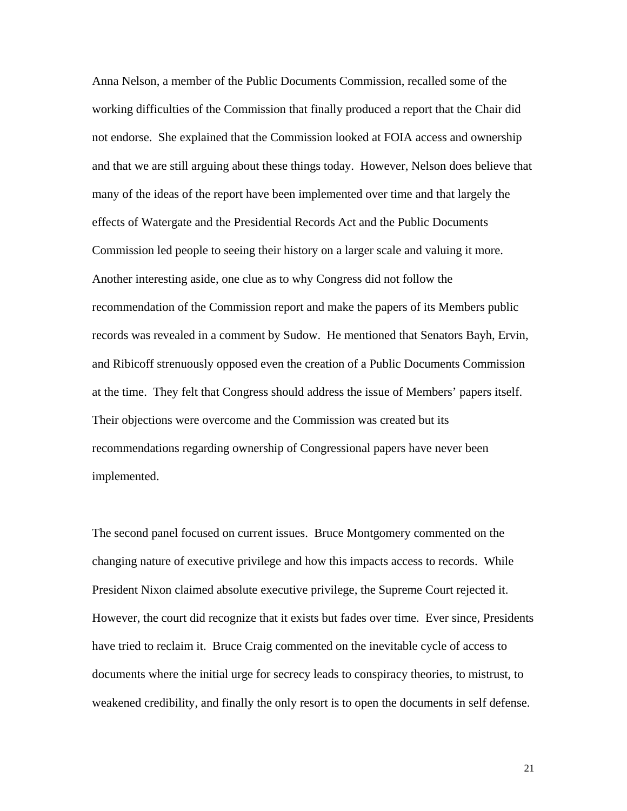Anna Nelson, a member of the Public Documents Commission, recalled some of the working difficulties of the Commission that finally produced a report that the Chair did not endorse. She explained that the Commission looked at FOIA access and ownership and that we are still arguing about these things today. However, Nelson does believe that many of the ideas of the report have been implemented over time and that largely the effects of Watergate and the Presidential Records Act and the Public Documents Commission led people to seeing their history on a larger scale and valuing it more. Another interesting aside, one clue as to why Congress did not follow the recommendation of the Commission report and make the papers of its Members public records was revealed in a comment by Sudow. He mentioned that Senators Bayh, Ervin, and Ribicoff strenuously opposed even the creation of a Public Documents Commission at the time. They felt that Congress should address the issue of Members' papers itself. Their objections were overcome and the Commission was created but its recommendations regarding ownership of Congressional papers have never been implemented.

The second panel focused on current issues. Bruce Montgomery commented on the changing nature of executive privilege and how this impacts access to records. While President Nixon claimed absolute executive privilege, the Supreme Court rejected it. However, the court did recognize that it exists but fades over time. Ever since, Presidents have tried to reclaim it. Bruce Craig commented on the inevitable cycle of access to documents where the initial urge for secrecy leads to conspiracy theories, to mistrust, to weakened credibility, and finally the only resort is to open the documents in self defense.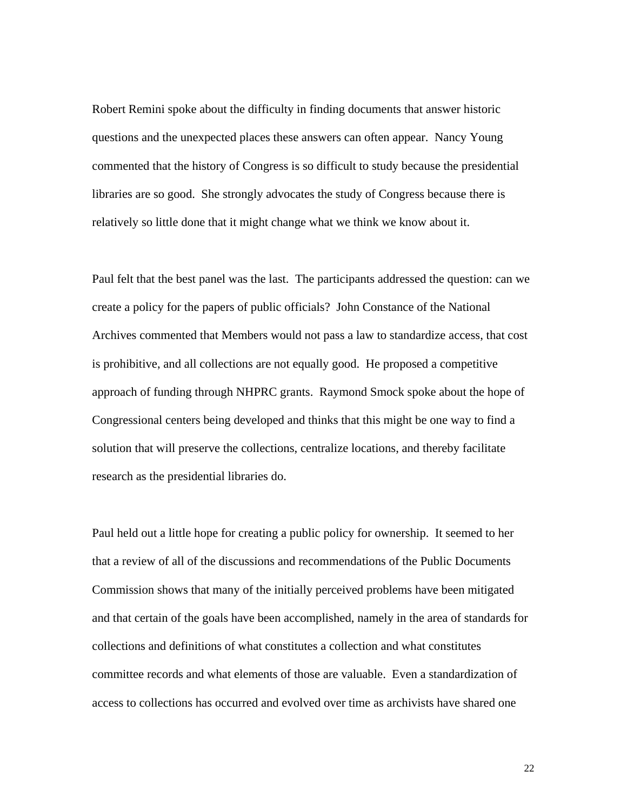Robert Remini spoke about the difficulty in finding documents that answer historic questions and the unexpected places these answers can often appear. Nancy Young commented that the history of Congress is so difficult to study because the presidential libraries are so good. She strongly advocates the study of Congress because there is relatively so little done that it might change what we think we know about it.

Paul felt that the best panel was the last. The participants addressed the question: can we create a policy for the papers of public officials? John Constance of the National Archives commented that Members would not pass a law to standardize access, that cost is prohibitive, and all collections are not equally good. He proposed a competitive approach of funding through NHPRC grants. Raymond Smock spoke about the hope of Congressional centers being developed and thinks that this might be one way to find a solution that will preserve the collections, centralize locations, and thereby facilitate research as the presidential libraries do.

Paul held out a little hope for creating a public policy for ownership. It seemed to her that a review of all of the discussions and recommendations of the Public Documents Commission shows that many of the initially perceived problems have been mitigated and that certain of the goals have been accomplished, namely in the area of standards for collections and definitions of what constitutes a collection and what constitutes committee records and what elements of those are valuable. Even a standardization of access to collections has occurred and evolved over time as archivists have shared one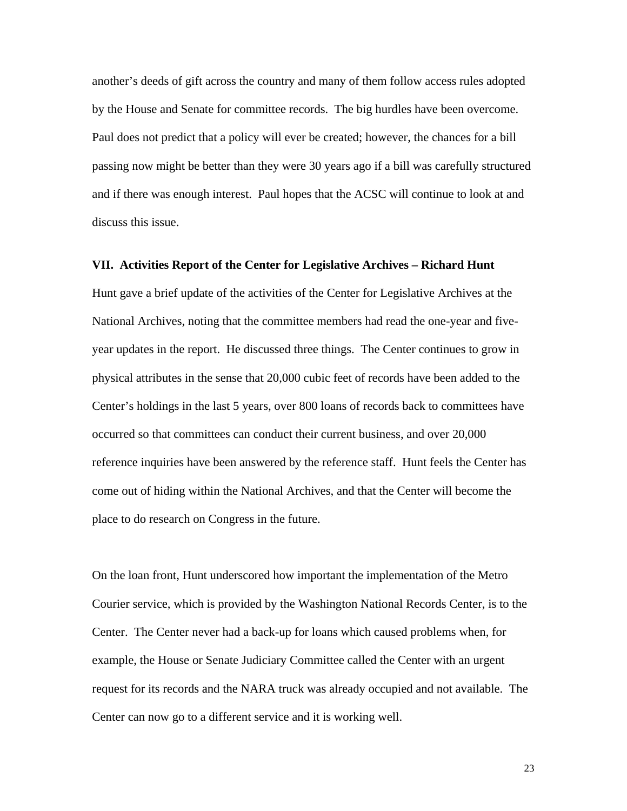another's deeds of gift across the country and many of them follow access rules adopted by the House and Senate for committee records. The big hurdles have been overcome. Paul does not predict that a policy will ever be created; however, the chances for a bill passing now might be better than they were 30 years ago if a bill was carefully structured and if there was enough interest. Paul hopes that the ACSC will continue to look at and discuss this issue.

## **VII. Activities Report of the Center for Legislative Archives – Richard Hunt**

Hunt gave a brief update of the activities of the Center for Legislative Archives at the National Archives, noting that the committee members had read the one-year and fiveyear updates in the report. He discussed three things. The Center continues to grow in physical attributes in the sense that 20,000 cubic feet of records have been added to the Center's holdings in the last 5 years, over 800 loans of records back to committees have occurred so that committees can conduct their current business, and over 20,000 reference inquiries have been answered by the reference staff. Hunt feels the Center has come out of hiding within the National Archives, and that the Center will become the place to do research on Congress in the future.

On the loan front, Hunt underscored how important the implementation of the Metro Courier service, which is provided by the Washington National Records Center, is to the Center. The Center never had a back-up for loans which caused problems when, for example, the House or Senate Judiciary Committee called the Center with an urgent request for its records and the NARA truck was already occupied and not available. The Center can now go to a different service and it is working well.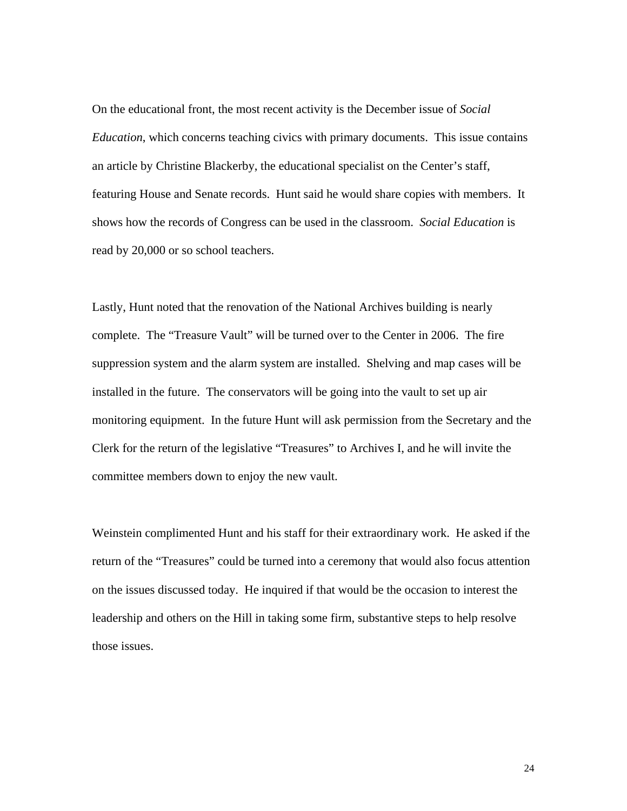On the educational front, the most recent activity is the December issue of *Social Education*, which concerns teaching civics with primary documents. This issue contains an article by Christine Blackerby, the educational specialist on the Center's staff, featuring House and Senate records. Hunt said he would share copies with members. It shows how the records of Congress can be used in the classroom. *Social Education* is read by 20,000 or so school teachers.

Lastly, Hunt noted that the renovation of the National Archives building is nearly complete. The "Treasure Vault" will be turned over to the Center in 2006. The fire suppression system and the alarm system are installed. Shelving and map cases will be installed in the future. The conservators will be going into the vault to set up air monitoring equipment. In the future Hunt will ask permission from the Secretary and the Clerk for the return of the legislative "Treasures" to Archives I, and he will invite the committee members down to enjoy the new vault.

Weinstein complimented Hunt and his staff for their extraordinary work. He asked if the return of the "Treasures" could be turned into a ceremony that would also focus attention on the issues discussed today. He inquired if that would be the occasion to interest the leadership and others on the Hill in taking some firm, substantive steps to help resolve those issues.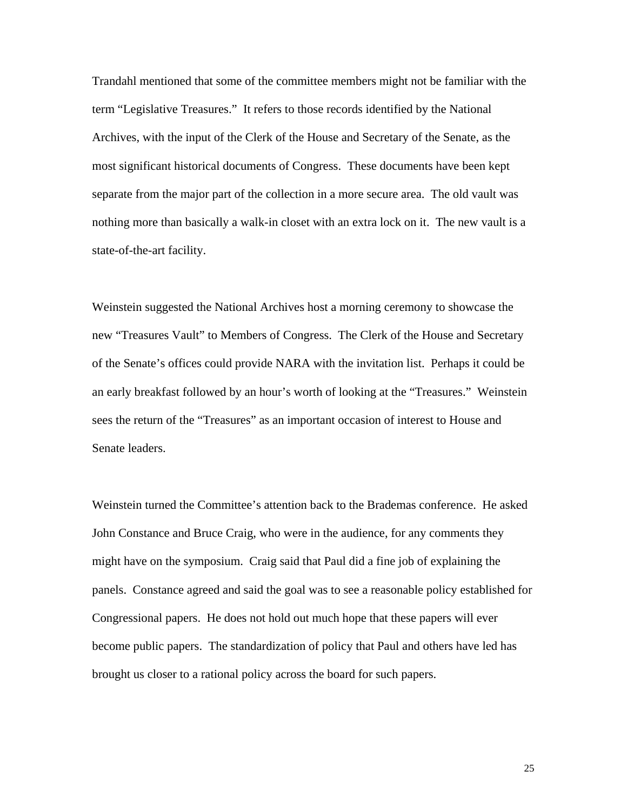Trandahl mentioned that some of the committee members might not be familiar with the term "Legislative Treasures." It refers to those records identified by the National Archives, with the input of the Clerk of the House and Secretary of the Senate, as the most significant historical documents of Congress. These documents have been kept separate from the major part of the collection in a more secure area. The old vault was nothing more than basically a walk-in closet with an extra lock on it. The new vault is a state-of-the-art facility.

Weinstein suggested the National Archives host a morning ceremony to showcase the new "Treasures Vault" to Members of Congress. The Clerk of the House and Secretary of the Senate's offices could provide NARA with the invitation list. Perhaps it could be an early breakfast followed by an hour's worth of looking at the "Treasures." Weinstein sees the return of the "Treasures" as an important occasion of interest to House and Senate leaders.

Weinstein turned the Committee's attention back to the Brademas conference. He asked John Constance and Bruce Craig, who were in the audience, for any comments they might have on the symposium. Craig said that Paul did a fine job of explaining the panels. Constance agreed and said the goal was to see a reasonable policy established for Congressional papers. He does not hold out much hope that these papers will ever become public papers. The standardization of policy that Paul and others have led has brought us closer to a rational policy across the board for such papers.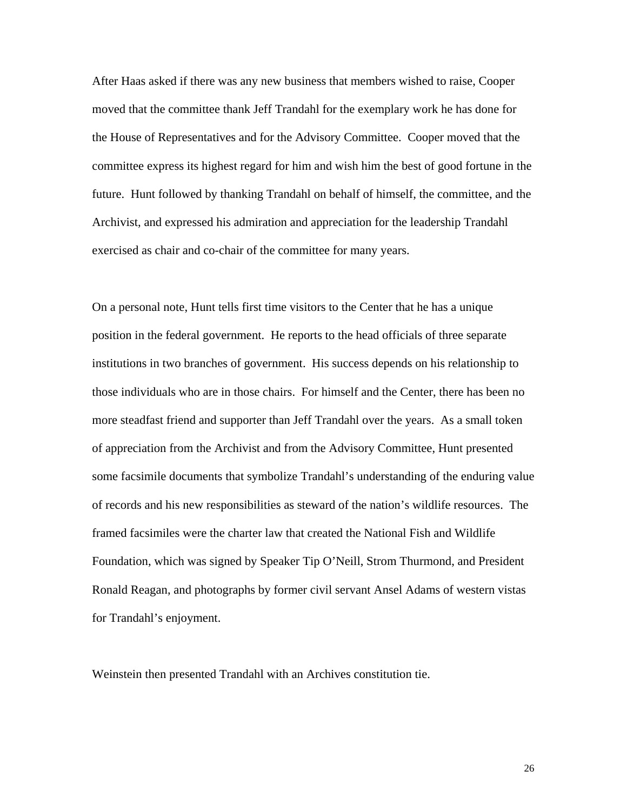After Haas asked if there was any new business that members wished to raise, Cooper moved that the committee thank Jeff Trandahl for the exemplary work he has done for the House of Representatives and for the Advisory Committee. Cooper moved that the committee express its highest regard for him and wish him the best of good fortune in the future. Hunt followed by thanking Trandahl on behalf of himself, the committee, and the Archivist, and expressed his admiration and appreciation for the leadership Trandahl exercised as chair and co-chair of the committee for many years.

On a personal note, Hunt tells first time visitors to the Center that he has a unique position in the federal government. He reports to the head officials of three separate institutions in two branches of government. His success depends on his relationship to those individuals who are in those chairs. For himself and the Center, there has been no more steadfast friend and supporter than Jeff Trandahl over the years. As a small token of appreciation from the Archivist and from the Advisory Committee, Hunt presented some facsimile documents that symbolize Trandahl's understanding of the enduring value of records and his new responsibilities as steward of the nation's wildlife resources. The framed facsimiles were the charter law that created the National Fish and Wildlife Foundation, which was signed by Speaker Tip O'Neill, Strom Thurmond, and President Ronald Reagan, and photographs by former civil servant Ansel Adams of western vistas for Trandahl's enjoyment.

Weinstein then presented Trandahl with an Archives constitution tie.